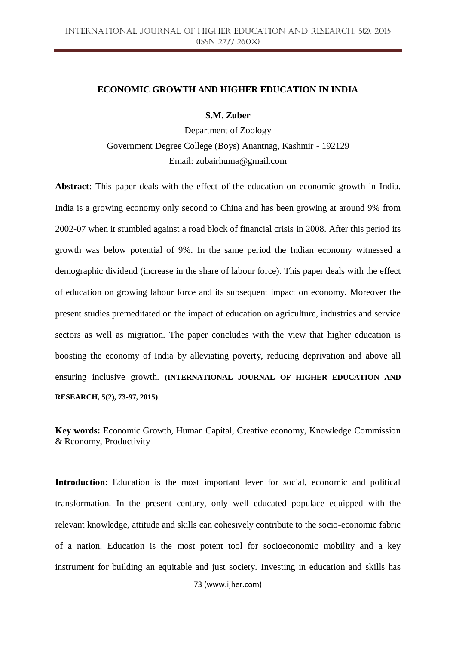# **ECONOMIC GROWTH AND HIGHER EDUCATION IN INDIA**

# **S.M. Zuber**

Department of Zoology Government Degree College (Boys) Anantnag, Kashmir - 192129 Email: zubairhuma@gmail.com

**Abstract**: This paper deals with the effect of the education on economic growth in India. India is a growing economy only second to China and has been growing at around 9% from 2002-07 when it stumbled against a road block of financial crisis in 2008. After this period its growth was below potential of 9%. In the same period the Indian economy witnessed a demographic dividend (increase in the share of labour force). This paper deals with the effect of education on growing labour force and its subsequent impact on economy. Moreover the present studies premeditated on the impact of education on agriculture, industries and service sectors as well as migration. The paper concludes with the view that higher education is boosting the economy of India by alleviating poverty, reducing deprivation and above all ensuring inclusive growth. **(INTERNATIONAL JOURNAL OF HIGHER EDUCATION AND RESEARCH, 5(2), 73-97, 2015)**

**Key words:** Economic Growth, Human Capital, Creative economy, Knowledge Commission & Rconomy, Productivity

**Introduction**: Education is the most important lever for social, economic and political transformation. In the present century, only well educated populace equipped with the relevant knowledge, attitude and skills can cohesively contribute to the socio-economic fabric of a nation. Education is the most potent tool for socioeconomic mobility and a key instrument for building an equitable and just society. Investing in education and skills has

73 (www.ijher.com)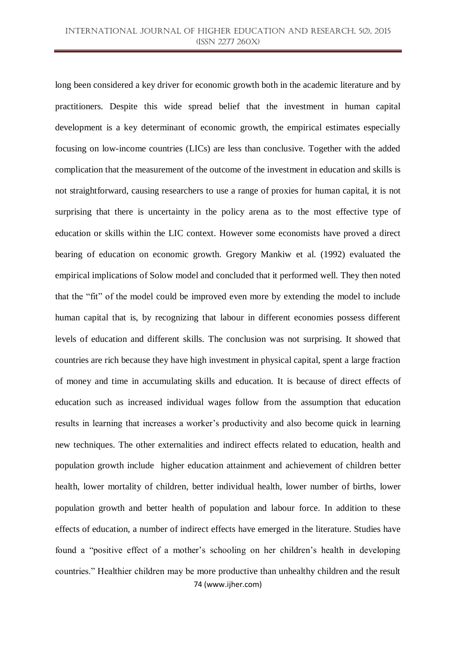74 (www.ijher.com) long been considered a key driver for economic growth both in the academic literature and by practitioners. Despite this wide spread belief that the investment in human capital development is a key determinant of economic growth, the empirical estimates especially focusing on low-income countries (LICs) are less than conclusive. Together with the added complication that the measurement of the outcome of the investment in education and skills is not straightforward, causing researchers to use a range of proxies for human capital, it is not surprising that there is uncertainty in the policy arena as to the most effective type of education or skills within the LIC context. However some economists have proved a direct bearing of education on economic growth. Gregory Mankiw et al. (1992) evaluated the empirical implications of Solow model and concluded that it performed well. They then noted that the "fit" of the model could be improved even more by extending the model to include human capital that is, by recognizing that labour in different economies possess different levels of education and different skills. The conclusion was not surprising. It showed that countries are rich because they have high investment in physical capital, spent a large fraction of money and time in accumulating skills and education. It is because of direct effects of education such as increased individual wages follow from the assumption that education results in learning that increases a worker's productivity and also become quick in learning new techniques. The other externalities and indirect effects related to education, health and population growth include higher education attainment and achievement of children better health, lower mortality of children, better individual health, lower number of births, lower population growth and better health of population and labour force. In addition to these effects of education, a number of indirect effects have emerged in the literature. Studies have found a "positive effect of a mother's schooling on her children's health in developing countries." Healthier children may be more productive than unhealthy children and the result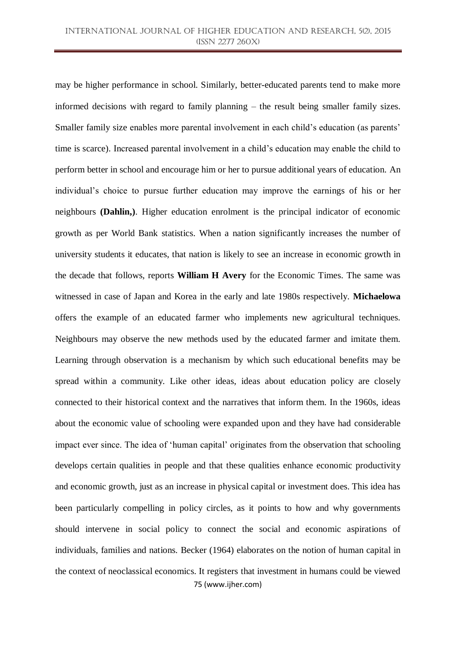75 (www.ijher.com) may be higher performance in school. Similarly, better-educated parents tend to make more informed decisions with regard to family planning – the result being smaller family sizes. Smaller family size enables more parental involvement in each child's education (as parents' time is scarce). Increased parental involvement in a child's education may enable the child to perform better in school and encourage him or her to pursue additional years of education. An individual's choice to pursue further education may improve the earnings of his or her neighbours **(Dahlin,)**. Higher education enrolment is the principal indicator of economic growth as per World Bank statistics. When a nation significantly increases the number of university students it educates, that nation is likely to see an increase in economic growth in the decade that follows, reports **William H Avery** for the Economic Times. The same was witnessed in case of Japan and Korea in the early and late 1980s respectively. **Michaelowa** offers the example of an educated farmer who implements new agricultural techniques. Neighbours may observe the new methods used by the educated farmer and imitate them. Learning through observation is a mechanism by which such educational benefits may be spread within a community. Like other ideas, ideas about education policy are closely connected to their historical context and the narratives that inform them. In the 1960s, ideas about the economic value of schooling were expanded upon and they have had considerable impact ever since. The idea of 'human capital' originates from the observation that schooling develops certain qualities in people and that these qualities enhance economic productivity and economic growth, just as an increase in physical capital or investment does. This idea has been particularly compelling in policy circles, as it points to how and why governments should intervene in social policy to connect the social and economic aspirations of individuals, families and nations. Becker (1964) elaborates on the notion of human capital in the context of neoclassical economics. It registers that investment in humans could be viewed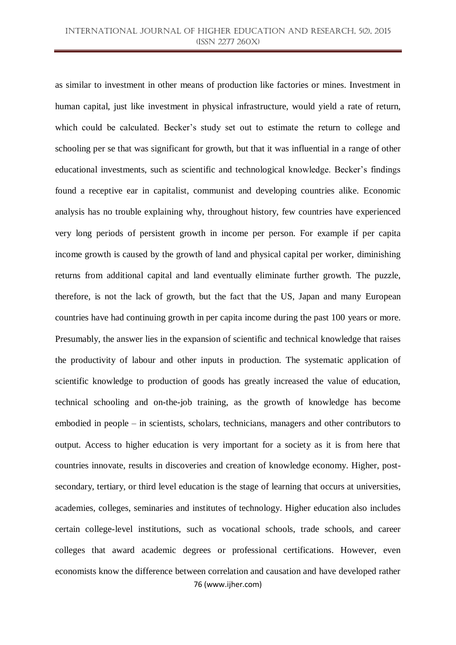76 (www.ijher.com) as similar to investment in other means of production like factories or mines. Investment in human capital, just like investment in physical infrastructure, would yield a rate of return, which could be calculated. Becker's study set out to estimate the return to college and schooling per se that was significant for growth, but that it was influential in a range of other educational investments, such as scientific and technological knowledge. Becker's findings found a receptive ear in capitalist, communist and developing countries alike. Economic analysis has no trouble explaining why, throughout history, few countries have experienced very long periods of persistent growth in income per person. For example if per capita income growth is caused by the growth of land and physical capital per worker, diminishing returns from additional capital and land eventually eliminate further growth. The puzzle, therefore, is not the lack of growth, but the fact that the US, Japan and many European countries have had continuing growth in per capita income during the past 100 years or more. Presumably, the answer lies in the expansion of scientific and technical knowledge that raises the productivity of labour and other inputs in production. The systematic application of scientific knowledge to production of goods has greatly increased the value of education, technical schooling and on-the-job training, as the growth of knowledge has become embodied in people – in scientists, scholars, technicians, managers and other contributors to output. Access to higher education is very important for a society as it is from here that countries innovate, results in discoveries and creation of knowledge economy. Higher, postsecondary, tertiary, or third level education is the stage of [learning](https://en.wikipedia.org/wiki/Learning) that occurs at [universities,](https://en.wikipedia.org/wiki/University) [academies,](https://en.wikipedia.org/wiki/Academy) [colleges,](https://en.wikipedia.org/wiki/College) [seminaries](https://en.wikipedia.org/wiki/Seminary) and [institutes of technology.](https://en.wikipedia.org/wiki/Institute_of_technology) Higher [education](https://en.wikipedia.org/wiki/Education) also includes certain college-level institutions, such as [vocational schools,](https://en.wikipedia.org/wiki/Vocational_school) trade schools, and career colleges that award [academic degrees](https://en.wikipedia.org/wiki/Academic_degree) or [professional certifications.](https://en.wikipedia.org/wiki/Professional_certification) However, even economists know the difference between correlation and causation and have developed rather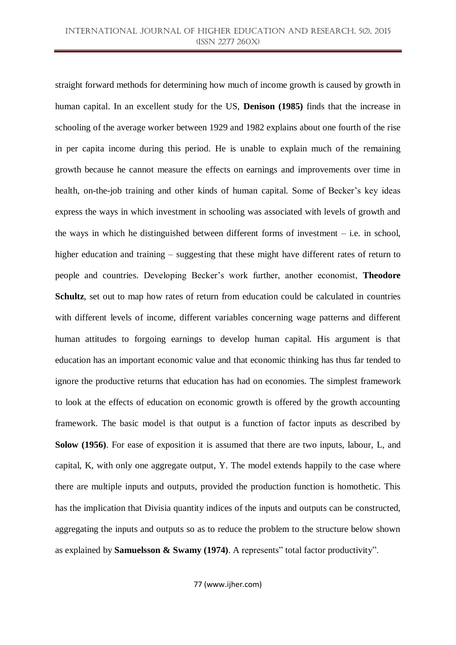straight forward methods for determining how much of income growth is caused by growth in human capital. In an excellent study for the US, **Denison (1985)** finds that the increase in schooling of the average worker between 1929 and 1982 explains about one fourth of the rise in per capita income during this period. He is unable to explain much of the remaining growth because he cannot measure the effects on earnings and improvements over time in health, on-the-job training and other kinds of human capital. Some of Becker's key ideas express the ways in which investment in schooling was associated with levels of growth and the ways in which he distinguished between different forms of investment – i.e. in school, higher education and training – suggesting that these might have different rates of return to people and countries. Developing Becker's work further, another economist, **Theodore Schultz**, set out to map how rates of return from education could be calculated in countries with different levels of income, different variables concerning wage patterns and different human attitudes to forgoing earnings to develop human capital. His argument is that education has an important economic value and that economic thinking has thus far tended to ignore the productive returns that education has had on economies. The simplest framework to look at the effects of education on economic growth is offered by the growth accounting framework. The basic model is that output is a function of factor inputs as described by **Solow (1956)**. For ease of exposition it is assumed that there are two inputs, labour, L, and capital, K, with only one aggregate output, Y. The model extends happily to the case where there are multiple inputs and outputs, provided the production function is homothetic. This has the implication that Divisia quantity indices of the inputs and outputs can be constructed, aggregating the inputs and outputs so as to reduce the problem to the structure below shown as explained by **Samuelsson & Swamy (1974)**. A represents" total factor productivity".

77 (www.ijher.com)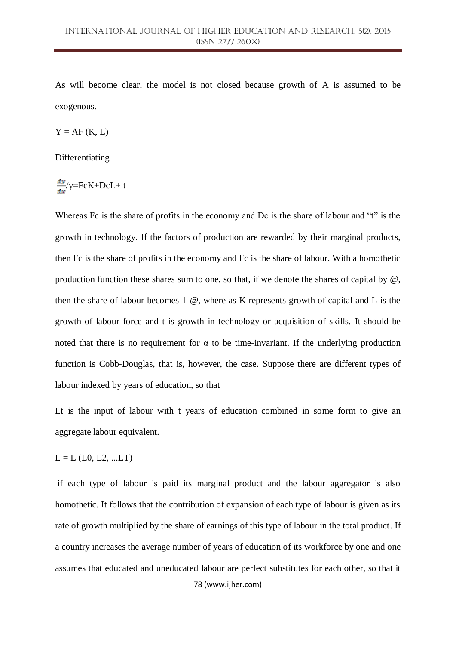As will become clear, the model is not closed because growth of A is assumed to be exogenous.

 $Y = AF(K, L)$ 

Differentiating

$$
\frac{dy}{dx}/y = FcK + DcL + t
$$

Whereas Fc is the share of profits in the economy and Dc is the share of labour and "t" is the growth in technology. If the factors of production are rewarded by their marginal products, then Fc is the share of profits in the economy and Fc is the share of labour. With a homothetic production function these shares sum to one, so that, if we denote the shares of capital by  $\omega$ , then the share of labour becomes 1-@, where as K represents growth of capital and L is the growth of labour force and t is growth in technology or acquisition of skills. It should be noted that there is no requirement for  $\alpha$  to be time-invariant. If the underlying production function is Cobb-Douglas, that is, however, the case. Suppose there are different types of labour indexed by years of education, so that

Lt is the input of labour with t years of education combined in some form to give an aggregate labour equivalent.

 $L = L$  (L0, L2, ...LT)

78 (www.ijher.com) if each type of labour is paid its marginal product and the labour aggregator is also homothetic. It follows that the contribution of expansion of each type of labour is given as its rate of growth multiplied by the share of earnings of this type of labour in the total product. If a country increases the average number of years of education of its workforce by one and one assumes that educated and uneducated labour are perfect substitutes for each other, so that it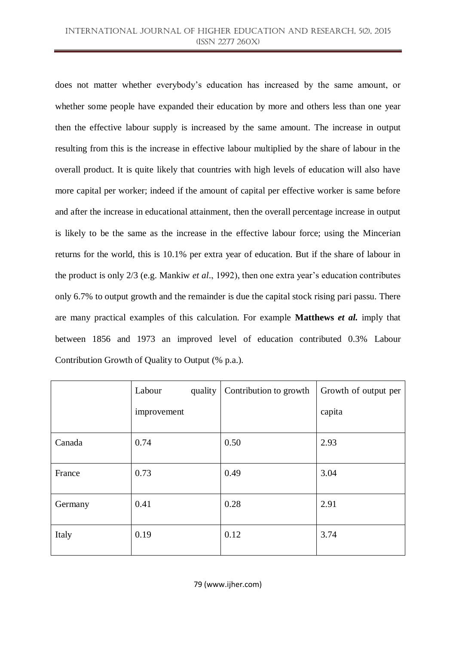does not matter whether everybody's education has increased by the same amount, or whether some people have expanded their education by more and others less than one year then the effective labour supply is increased by the same amount. The increase in output resulting from this is the increase in effective labour multiplied by the share of labour in the overall product. It is quite likely that countries with high levels of education will also have more capital per worker; indeed if the amount of capital per effective worker is same before and after the increase in educational attainment, then the overall percentage increase in output is likely to be the same as the increase in the effective labour force; using the Mincerian returns for the world, this is 10.1% per extra year of education. But if the share of labour in the product is only 2/3 (e.g. Mankiw *et al*., 1992), then one extra year's education contributes only 6.7% to output growth and the remainder is due the capital stock rising pari passu. There are many practical examples of this calculation. For example **Matthews** *et al.* imply that between 1856 and 1973 an improved level of education contributed 0.3% Labour Contribution Growth of Quality to Output (% p.a.).

|         | Labour<br>quality | Contribution to growth | Growth of output per |
|---------|-------------------|------------------------|----------------------|
|         | improvement       |                        | capita               |
| Canada  | 0.74              | 0.50                   | 2.93                 |
| France  | 0.73              | 0.49                   | 3.04                 |
| Germany | 0.41              | 0.28                   | 2.91                 |
| Italy   | 0.19              | 0.12                   | 3.74                 |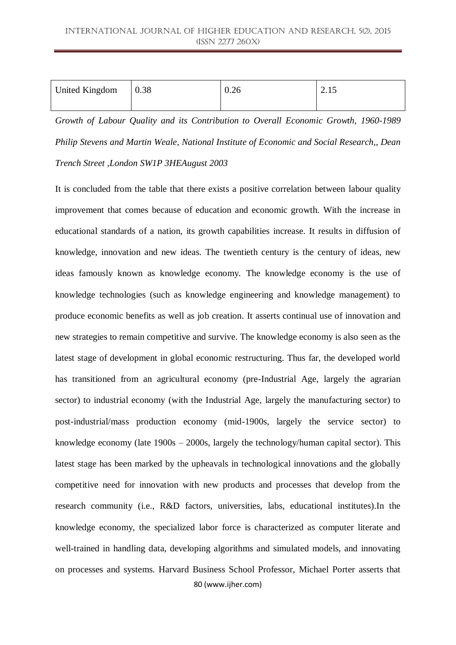| <b>United Kingdom</b> | 0.38 | 0.26 | ل 1 . |
|-----------------------|------|------|-------|
|                       |      |      |       |

*Growth of Labour Quality and its Contribution to Overall Economic Growth, 1960-1989 Philip Stevens and Martin Weale, National Institute of Economic and Social Research,, Dean Trench Street ,London SW1P 3HEAugust 2003*

80 (www.ijher.com) It is concluded from the table that there exists a positive correlation between labour quality improvement that comes because of education and economic growth. With the increase in educational standards of a nation, its growth capabilities increase. It results in diffusion of knowledge, innovation and new ideas. The twentieth century is the century of ideas, new ideas famously known as knowledge economy. The knowledge economy is the use of knowledge technologies (such as knowledge engineering and knowledge management) to produce economic benefits as well as job creation. It asserts continual use of innovation and new strategies to remain competitive and survive. The knowledge economy is also seen as the latest stage of development in global economic restructuring. Thus far, the developed world has transitioned from an agricultural economy (pre-Industrial Age, largely the agrarian sector) to industrial economy (with the Industrial Age, largely the manufacturing sector) to post-industrial/mass production economy (mid-1900s, largely the service sector) to knowledge economy (late 1900s – 2000s, largely the technology/human capital sector). This latest stage has been marked by the upheavals in technological innovations and the globally competitive need for innovation with new products and processes that develop from the research community (i.e., R&D factors, universities, labs, educational institutes).In the knowledge economy, the specialized labor force is characterized as computer literate and well-trained in handling data, developing algorithms and simulated models, and innovating on processes and systems. Harvard Business School Professor, Michael Porter asserts that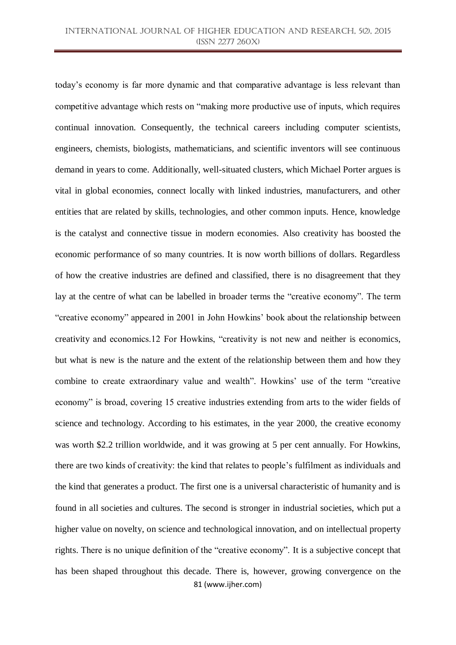81 (www.ijher.com) today's economy is far more dynamic and that comparative advantage is less relevant than competitive advantage which rests on "making more productive use of inputs, which requires continual innovation. Consequently, the technical careers including computer scientists, engineers, chemists, biologists, mathematicians, and scientific inventors will see continuous demand in years to come. Additionally, well-situated clusters, which Michael Porter argues is vital in global economies, connect locally with linked industries, manufacturers, and other entities that are related by skills, technologies, and other common inputs. Hence, knowledge is the catalyst and connective tissue in modern economies. Also creativity has boosted the economic performance of so many countries. It is now worth billions of dollars. Regardless of how the creative industries are defined and classified, there is no disagreement that they lay at the centre of what can be labelled in broader terms the "creative economy". The term "creative economy" appeared in 2001 in John Howkins' book about the relationship between creativity and economics.12 For Howkins, "creativity is not new and neither is economics, but what is new is the nature and the extent of the relationship between them and how they combine to create extraordinary value and wealth". Howkins' use of the term "creative economy" is broad, covering 15 creative industries extending from arts to the wider fields of science and technology. According to his estimates, in the year 2000, the creative economy was worth \$2.2 trillion worldwide, and it was growing at 5 per cent annually. For Howkins, there are two kinds of creativity: the kind that relates to people's fulfilment as individuals and the kind that generates a product. The first one is a universal characteristic of humanity and is found in all societies and cultures. The second is stronger in industrial societies, which put a higher value on novelty, on science and technological innovation, and on intellectual property rights. There is no unique definition of the "creative economy". It is a subjective concept that has been shaped throughout this decade. There is, however, growing convergence on the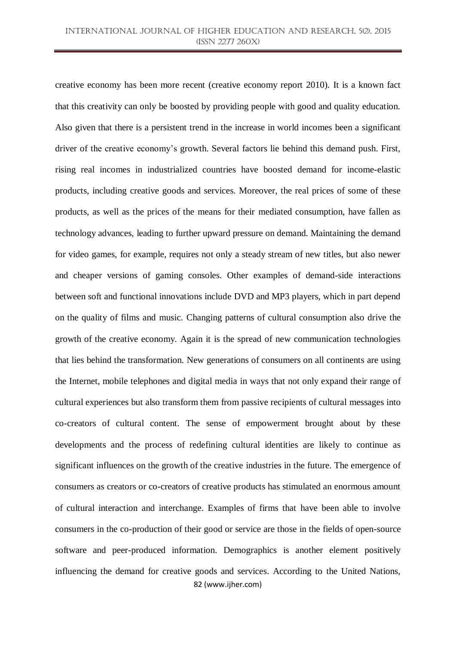82 (www.ijher.com) creative economy has been more recent (creative economy report 2010). It is a known fact that this creativity can only be boosted by providing people with good and quality education. Also given that there is a persistent trend in the increase in world incomes been a significant driver of the creative economy's growth. Several factors lie behind this demand push. First, rising real incomes in industrialized countries have boosted demand for income-elastic products, including creative goods and services. Moreover, the real prices of some of these products, as well as the prices of the means for their mediated consumption, have fallen as technology advances, leading to further upward pressure on demand. Maintaining the demand for video games, for example, requires not only a steady stream of new titles, but also newer and cheaper versions of gaming consoles. Other examples of demand-side interactions between soft and functional innovations include DVD and MP3 players, which in part depend on the quality of films and music. Changing patterns of cultural consumption also drive the growth of the creative economy. Again it is the spread of new communication technologies that lies behind the transformation. New generations of consumers on all continents are using the Internet, mobile telephones and digital media in ways that not only expand their range of cultural experiences but also transform them from passive recipients of cultural messages into co-creators of cultural content. The sense of empowerment brought about by these developments and the process of redefining cultural identities are likely to continue as significant influences on the growth of the creative industries in the future. The emergence of consumers as creators or co-creators of creative products has stimulated an enormous amount of cultural interaction and interchange. Examples of firms that have been able to involve consumers in the co-production of their good or service are those in the fields of open-source software and peer-produced information. Demographics is another element positively influencing the demand for creative goods and services. According to the United Nations,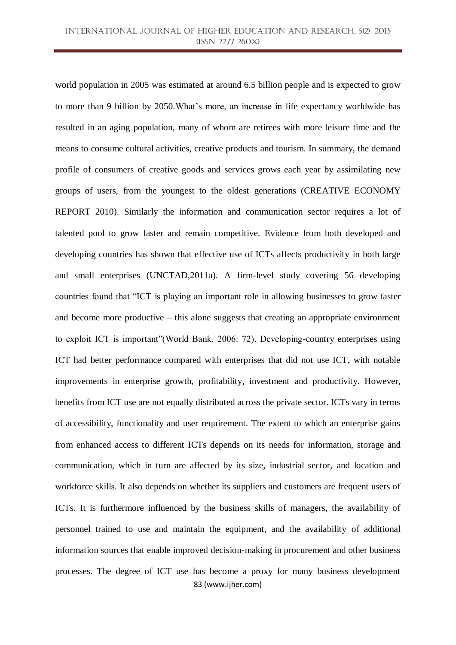83 (www.ijher.com) world population in 2005 was estimated at around 6.5 billion people and is expected to grow to more than 9 billion by 2050.What's more, an increase in life expectancy worldwide has resulted in an aging population, many of whom are retirees with more leisure time and the means to consume cultural activities, creative products and tourism. In summary, the demand profile of consumers of creative goods and services grows each year by assimilating new groups of users, from the youngest to the oldest generations (CREATIVE ECONOMY REPORT 2010). Similarly the information and communication sector requires a lot of talented pool to grow faster and remain competitive. Evidence from both developed and developing countries has shown that effective use of ICTs affects productivity in both large and small enterprises (UNCTAD,2011a). A firm-level study covering 56 developing countries found that "ICT is playing an important role in allowing businesses to grow faster and become more productive – this alone suggests that creating an appropriate environment to exploit ICT is important" (World Bank, 2006: 72). Developing-country enterprises using ICT had better performance compared with enterprises that did not use ICT, with notable improvements in enterprise growth, profitability, investment and productivity. However, benefits from ICT use are not equally distributed across the private sector. ICTs vary in terms of accessibility, functionality and user requirement. The extent to which an enterprise gains from enhanced access to different ICTs depends on its needs for information, storage and communication, which in turn are affected by its size, industrial sector, and location and workforce skills. It also depends on whether its suppliers and customers are frequent users of ICTs. It is furthermore influenced by the business skills of managers, the availability of personnel trained to use and maintain the equipment, and the availability of additional information sources that enable improved decision-making in procurement and other business processes. The degree of ICT use has become a proxy for many business development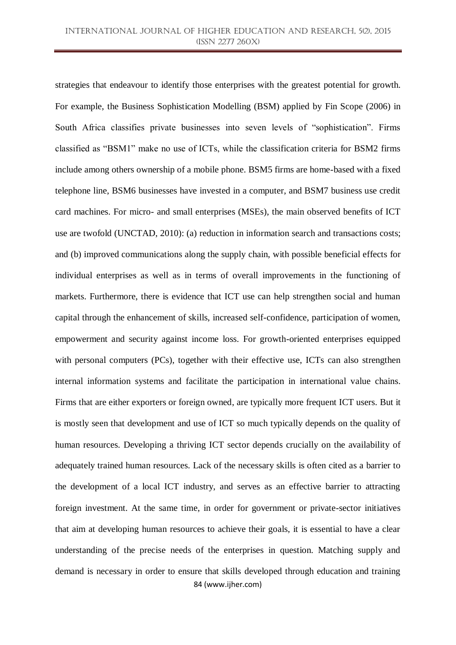84 (www.ijher.com) strategies that endeavour to identify those enterprises with the greatest potential for growth. For example, the Business Sophistication Modelling (BSM) applied by Fin Scope (2006) in South Africa classifies private businesses into seven levels of "sophistication". Firms classified as "BSM1" make no use of ICTs, while the classification criteria for BSM2 firms include among others ownership of a mobile phone. BSM5 firms are home-based with a fixed telephone line, BSM6 businesses have invested in a computer, and BSM7 business use credit card machines. For micro- and small enterprises (MSEs), the main observed benefits of ICT use are twofold (UNCTAD, 2010): (a) reduction in information search and transactions costs; and (b) improved communications along the supply chain, with possible beneficial effects for individual enterprises as well as in terms of overall improvements in the functioning of markets. Furthermore, there is evidence that ICT use can help strengthen social and human capital through the enhancement of skills, increased self-confidence, participation of women, empowerment and security against income loss. For growth-oriented enterprises equipped with personal computers (PCs), together with their effective use, ICTs can also strengthen internal information systems and facilitate the participation in international value chains. Firms that are either exporters or foreign owned, are typically more frequent ICT users. But it is mostly seen that development and use of ICT so much typically depends on the quality of human resources. Developing a thriving ICT sector depends crucially on the availability of adequately trained human resources. Lack of the necessary skills is often cited as a barrier to the development of a local ICT industry, and serves as an effective barrier to attracting foreign investment. At the same time, in order for government or private-sector initiatives that aim at developing human resources to achieve their goals, it is essential to have a clear understanding of the precise needs of the enterprises in question. Matching supply and demand is necessary in order to ensure that skills developed through education and training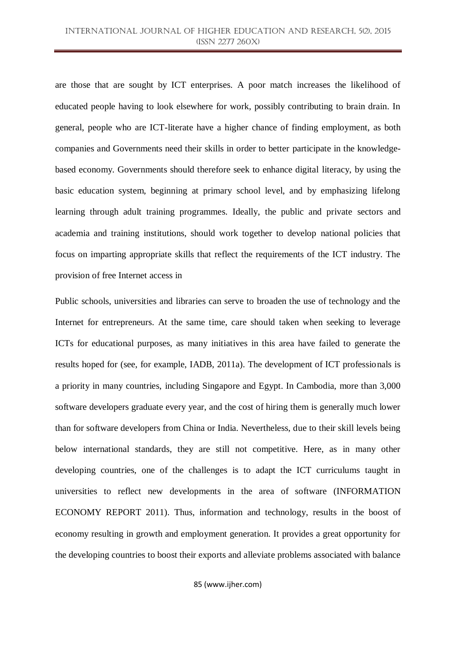are those that are sought by ICT enterprises. A poor match increases the likelihood of educated people having to look elsewhere for work, possibly contributing to brain drain. In general, people who are ICT-literate have a higher chance of finding employment, as both companies and Governments need their skills in order to better participate in the knowledgebased economy. Governments should therefore seek to enhance digital literacy, by using the basic education system, beginning at primary school level, and by emphasizing lifelong learning through adult training programmes. Ideally, the public and private sectors and academia and training institutions, should work together to develop national policies that focus on imparting appropriate skills that reflect the requirements of the ICT industry. The provision of free Internet access in

Public schools, universities and libraries can serve to broaden the use of technology and the Internet for entrepreneurs. At the same time, care should taken when seeking to leverage ICTs for educational purposes, as many initiatives in this area have failed to generate the results hoped for (see, for example, IADB, 2011a). The development of ICT professionals is a priority in many countries, including Singapore and Egypt. In Cambodia, more than 3,000 software developers graduate every year, and the cost of hiring them is generally much lower than for software developers from China or India. Nevertheless, due to their skill levels being below international standards, they are still not competitive. Here, as in many other developing countries, one of the challenges is to adapt the ICT curriculums taught in universities to reflect new developments in the area of software (INFORMATION ECONOMY REPORT 2011). Thus, information and technology, results in the boost of economy resulting in growth and employment generation. It provides a great opportunity for the developing countries to boost their exports and alleviate problems associated with balance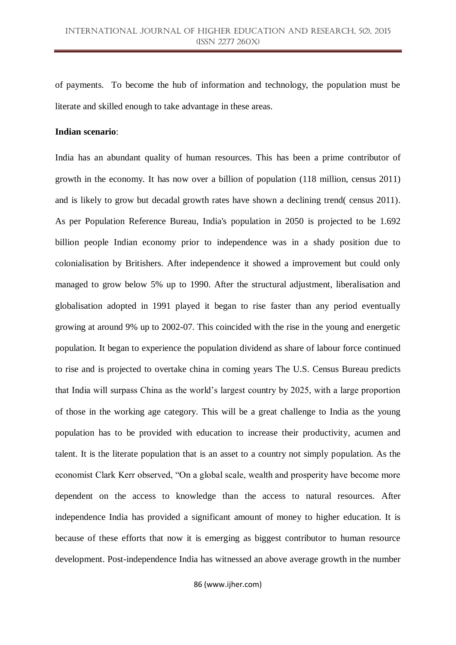of payments. To become the hub of information and technology, the population must be literate and skilled enough to take advantage in these areas.

# **Indian scenario**:

India has an abundant quality of human resources. This has been a prime contributor of growth in the economy. It has now over a billion of population (118 million, census 2011) and is likely to grow but decadal growth rates have shown a declining trend( census 2011). As per Population Reference Bureau, India's population in 2050 is projected to be 1.692 billion people Indian economy prior to independence was in a shady position due to colonialisation by Britishers. After independence it showed a improvement but could only managed to grow below 5% up to 1990. After the structural adjustment, liberalisation and globalisation adopted in 1991 played it began to rise faster than any period eventually growing at around 9% up to 2002-07. This coincided with the rise in the young and energetic population. It began to experience the population dividend as share of labour force continued to rise and is projected to overtake china in coming years The U.S. Census Bureau predicts that India will surpass China as the world's largest country by 2025, with a large proportion of those in the working age category. This will be a great challenge to India as the young population has to be provided with education to increase their productivity, acumen and talent. It is the literate population that is an asset to a country not simply population. As the economist Clark Kerr observed, "On a global scale, wealth and prosperity have become more dependent on the access to knowledge than the access to natural resources. After independence India has provided a significant amount of money to higher education. It is because of these efforts that now it is emerging as biggest contributor to human resource development. Post-independence India has witnessed an above average growth in the number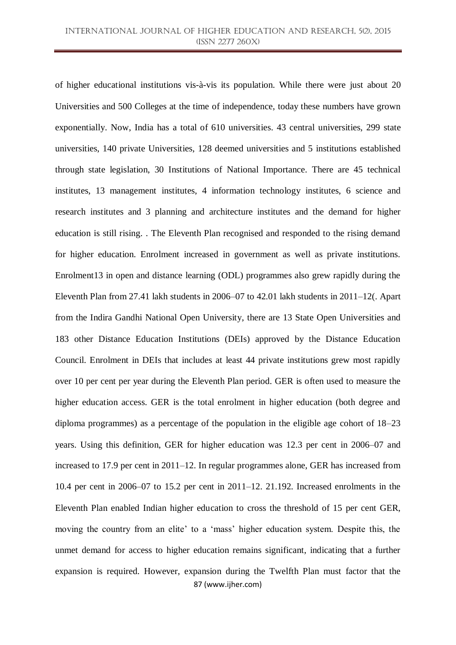87 (www.ijher.com) of higher educational institutions vis-à-vis its population. While there were just about 20 Universities and 500 Colleges at the time of independence, today these numbers have grown exponentially. Now, India has a total of 610 universities. 43 central universities, 299 state universities, 140 private Universities, 128 deemed universities and 5 institutions established through state legislation, 30 Institutions of National Importance. There are 45 technical institutes, 13 management institutes, 4 information technology institutes, 6 science and research institutes and 3 planning and architecture institutes and the demand for higher education is still rising. . The Eleventh Plan recognised and responded to the rising demand for higher education. Enrolment increased in government as well as private institutions. Enrolment13 in open and distance learning (ODL) programmes also grew rapidly during the Eleventh Plan from 27.41 lakh students in 2006–07 to 42.01 lakh students in 2011–12(. Apart from the Indira Gandhi National Open University, there are 13 State Open Universities and 183 other Distance Education Institutions (DEIs) approved by the Distance Education Council. Enrolment in DEIs that includes at least 44 private institutions grew most rapidly over 10 per cent per year during the Eleventh Plan period. GER is often used to measure the higher education access. GER is the total enrolment in higher education (both degree and diploma programmes) as a percentage of the population in the eligible age cohort of 18–23 years. Using this definition, GER for higher education was 12.3 per cent in 2006–07 and increased to 17.9 per cent in 2011–12. In regular programmes alone, GER has increased from 10.4 per cent in 2006–07 to 15.2 per cent in 2011–12. 21.192. Increased enrolments in the Eleventh Plan enabled Indian higher education to cross the threshold of 15 per cent GER, moving the country from an elite' to a 'mass' higher education system. Despite this, the unmet demand for access to higher education remains significant, indicating that a further expansion is required. However, expansion during the Twelfth Plan must factor that the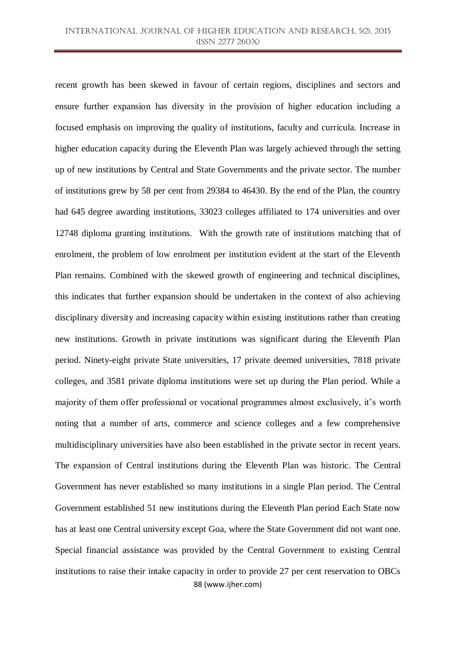88 (www.ijher.com) recent growth has been skewed in favour of certain regions, disciplines and sectors and ensure further expansion has diversity in the provision of higher education including a focused emphasis on improving the quality of institutions, faculty and curricula. Increase in higher education capacity during the Eleventh Plan was largely achieved through the setting up of new institutions by Central and State Governments and the private sector. The number of institutions grew by 58 per cent from 29384 to 46430. By the end of the Plan, the country had 645 degree awarding institutions, 33023 colleges affiliated to 174 universities and over 12748 diploma granting institutions. With the growth rate of institutions matching that of enrolment, the problem of low enrolment per institution evident at the start of the Eleventh Plan remains. Combined with the skewed growth of engineering and technical disciplines, this indicates that further expansion should be undertaken in the context of also achieving disciplinary diversity and increasing capacity within existing institutions rather than creating new institutions. Growth in private institutions was significant during the Eleventh Plan period. Ninety-eight private State universities, 17 private deemed universities, 7818 private colleges, and 3581 private diploma institutions were set up during the Plan period. While a majority of them offer professional or vocational programmes almost exclusively, it's worth noting that a number of arts, commerce and science colleges and a few comprehensive multidisciplinary universities have also been established in the private sector in recent years. The expansion of Central institutions during the Eleventh Plan was historic. The Central Government has never established so many institutions in a single Plan period. The Central Government established 51 new institutions during the Eleventh Plan period Each State now has at least one Central university except Goa, where the State Government did not want one. Special financial assistance was provided by the Central Government to existing Central institutions to raise their intake capacity in order to provide 27 per cent reservation to OBCs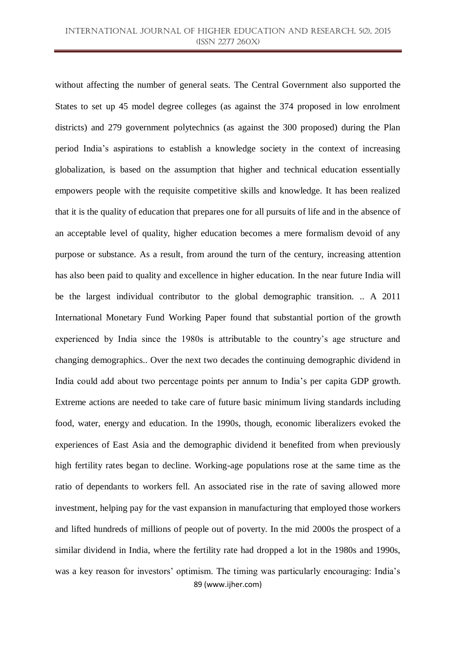89 (www.ijher.com) without affecting the number of general seats. The Central Government also supported the States to set up 45 model degree colleges (as against the 374 proposed in low enrolment districts) and 279 government polytechnics (as against the 300 proposed) during the Plan period India's aspirations to establish a knowledge society in the context of increasing globalization, is based on the assumption that higher and technical education essentially empowers people with the requisite competitive skills and knowledge. It has been realized that it is the quality of education that prepares one for all pursuits of life and in the absence of an acceptable level of quality, higher education becomes a mere formalism devoid of any purpose or substance. As a result, from around the turn of the century, increasing attention has also been paid to quality and excellence in higher education. In the near future India will be the largest individual contributor to the global demographic transition. .. A 2011 International Monetary Fund Working Paper found that substantial portion of the growth experienced by India since the 1980s is attributable to the country's age structure and changing demographics.. Over the next two decades the continuing demographic dividend in India could add about two percentage points per annum to India's per capita GDP growth. Extreme actions are needed to take care of future basic minimum living standards including food, water, energy and education. In the 1990s, though, economic liberalizers evoked the experiences of East Asia and the demographic dividend it benefited from when previously high fertility rates began to decline. Working-age populations rose at the same time as the ratio of dependants to workers fell. An associated rise in the rate of saving allowed more investment, helping pay for the vast expansion in manufacturing that employed those workers and lifted hundreds of millions of people out of poverty. In the mid 2000s the prospect of a similar dividend in India, where the fertility rate had dropped a lot in the 1980s and 1990s, was a key reason for investors' optimism. The timing was particularly encouraging: India's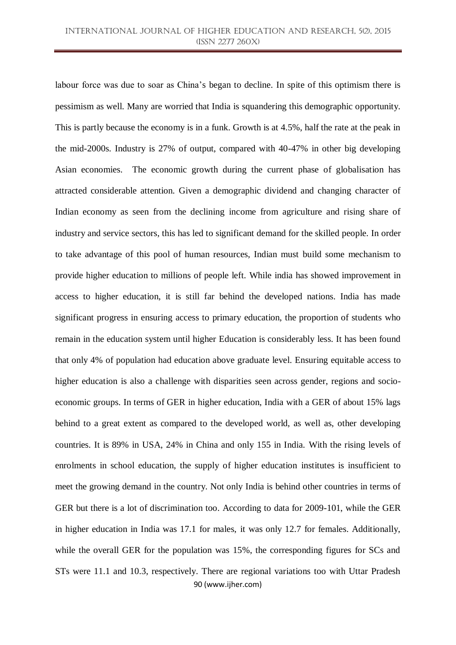90 (www.ijher.com) labour force was due to soar as China's began to decline. In spite of this optimism there is pessimism as well. Many are worried that India is squandering this demographic opportunity. This is partly because the economy is in a funk. Growth is at 4.5%, half the rate at the peak in the mid-2000s. Industry is 27% of output, compared with 40-47% in other big developing Asian economies. The economic growth during the current phase of globalisation has attracted considerable attention. Given a demographic dividend and changing character of Indian economy as seen from the declining income from agriculture and rising share of industry and service sectors, this has led to significant demand for the skilled people. In order to take advantage of this pool of human resources, Indian must build some mechanism to provide higher education to millions of people left. While india has showed improvement in access to higher education, it is still far behind the developed nations. India has made significant progress in ensuring access to primary education, the proportion of students who remain in the education system until higher Education is considerably less. It has been found that only 4% of population had education above graduate level. Ensuring equitable access to higher education is also a challenge with disparities seen across gender, regions and socioeconomic groups. In terms of GER in higher education, India with a GER of about 15% lags behind to a great extent as compared to the developed world, as well as, other developing countries. It is 89% in USA, 24% in China and only 155 in India. With the rising levels of enrolments in school education, the supply of higher education institutes is insufficient to meet the growing demand in the country. Not only India is behind other countries in terms of GER but there is a lot of discrimination too. According to data for 2009-101, while the GER in higher education in India was 17.1 for males, it was only 12.7 for females. Additionally, while the overall GER for the population was 15%, the corresponding figures for SCs and STs were 11.1 and 10.3, respectively. There are regional variations too with Uttar Pradesh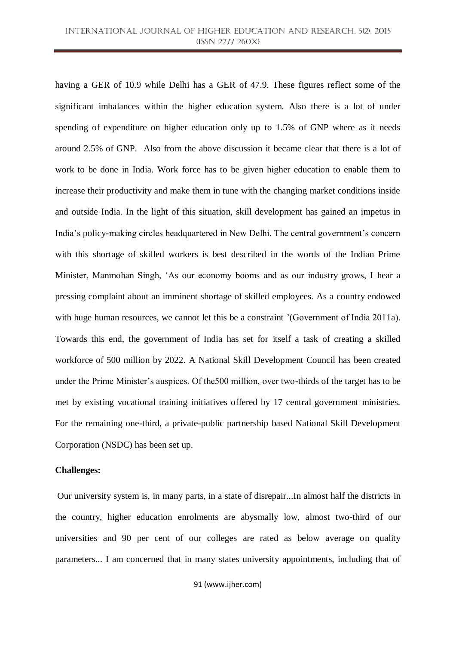having a GER of 10.9 while Delhi has a GER of 47.9. These figures reflect some of the significant imbalances within the higher education system. Also there is a lot of under spending of expenditure on higher education only up to 1.5% of GNP where as it needs around 2.5% of GNP. Also from the above discussion it became clear that there is a lot of work to be done in India. Work force has to be given higher education to enable them to increase their productivity and make them in tune with the changing market conditions inside and outside India. In the light of this situation, skill development has gained an impetus in India's policy-making circles headquartered in New Delhi. The central government's concern with this shortage of skilled workers is best described in the words of the Indian Prime Minister, Manmohan Singh, ‗As our economy booms and as our industry grows, I hear a pressing complaint about an imminent shortage of skilled employees. As a country endowed with huge human resources, we cannot let this be a constraint '(Government of India 2011a). Towards this end, the government of India has set for itself a task of creating a skilled workforce of 500 million by 2022. A National Skill Development Council has been created under the Prime Minister's auspices. Of the500 million, over two-thirds of the target has to be met by existing vocational training initiatives offered by 17 central government ministries. For the remaining one-third, a private-public partnership based National Skill Development Corporation (NSDC) has been set up.

### **Challenges:**

Our university system is, in many parts, in a state of disrepair...In almost half the districts in the country, higher education enrolments are abysmally low, almost two-third of our universities and 90 per cent of our colleges are rated as below average on quality parameters... I am concerned that in many states university appointments, including that of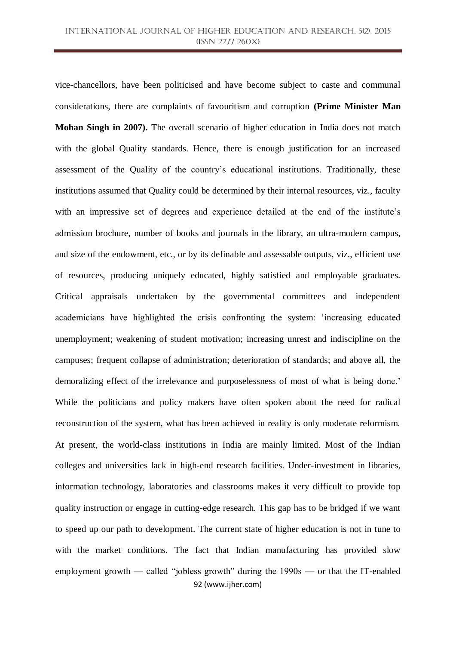92 (www.ijher.com) vice-chancellors, have been politicised and have become subject to caste and communal considerations, there are complaints of favouritism and corruption **(Prime Minister Man Mohan Singh in 2007).** The overall scenario of higher education in India does not match with the global Quality standards. Hence, there is enough justification for an increased assessment of the Quality of the country's educational institutions. Traditionally, these institutions assumed that Quality could be determined by their internal resources, viz., faculty with an impressive set of degrees and experience detailed at the end of the institute's admission brochure, number of books and journals in the library, an ultra-modern campus, and size of the endowment, etc., or by its definable and assessable outputs, viz., efficient use of resources, producing uniquely educated, highly satisfied and employable graduates. Critical appraisals undertaken by the governmental committees and independent academicians have highlighted the crisis confronting the system: ‗increasing educated unemployment; weakening of student motivation; increasing unrest and indiscipline on the campuses; frequent collapse of administration; deterioration of standards; and above all, the demoralizing effect of the irrelevance and purposelessness of most of what is being done.' While the politicians and policy makers have often spoken about the need for radical reconstruction of the system, what has been achieved in reality is only moderate reformism. At present, the world-class institutions in India are mainly limited. Most of the Indian colleges and universities lack in high-end research facilities. Under-investment in libraries, information technology, laboratories and classrooms makes it very difficult to provide top quality instruction or engage in cutting-edge research. This gap has to be bridged if we want to speed up our path to development. The current state of higher education is not in tune to with the market conditions. The fact that Indian manufacturing has provided slow employment growth — called "jobless growth" during the  $1990s$  — or that the IT-enabled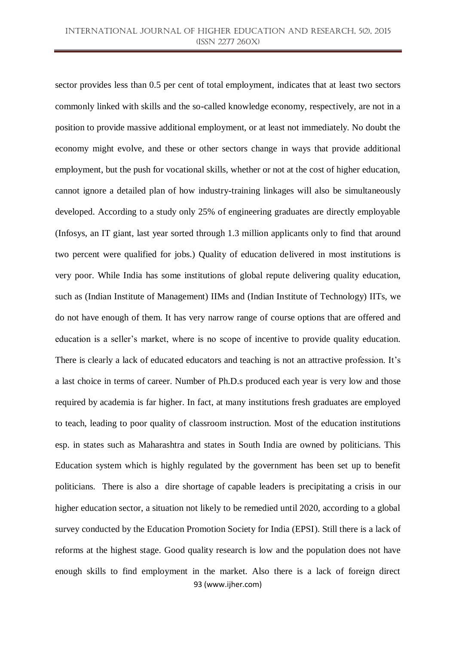93 (www.ijher.com) sector provides less than 0.5 per cent of total employment, indicates that at least two sectors commonly linked with skills and the so-called knowledge economy, respectively, are not in a position to provide massive additional employment, or at least not immediately. No doubt the economy might evolve, and these or other sectors change in ways that provide additional employment, but the push for vocational skills, whether or not at the cost of higher education, cannot ignore a detailed plan of how industry-training linkages will also be simultaneously developed. According to a study only 25% of engineering graduates are directly employable (Infosys, an IT giant, last year sorted through 1.3 million applicants only to find that around two percent were qualified for jobs.) Quality of education delivered in most institutions is very poor. While India has some institutions of global repute delivering quality education, such as (Indian Institute of Management) IIMs and (Indian Institute of Technology) IITs, we do not have enough of them. It has very narrow range of course options that are offered and education is a seller's market, where is no scope of incentive to provide quality education. There is clearly a lack of educated educators and teaching is not an attractive profession. It's a last choice in terms of career. Number of Ph.D.s produced each year is very low and those required by academia is far higher. In fact, at many institutions fresh graduates are employed to teach, leading to poor quality of classroom instruction. Most of the education institutions esp. in states such as Maharashtra and states in South India are owned by politicians. This Education system which is highly regulated by the government has been set up to benefit politicians. There is also a dire shortage of capable leaders is precipitating a crisis in our higher education sector, a situation not likely to be remedied until 2020, according to a global survey conducted by the Education Promotion Society for India (EPSI). Still there is a lack of reforms at the highest stage. Good quality research is low and the population does not have enough skills to find employment in the market. Also there is a lack of foreign direct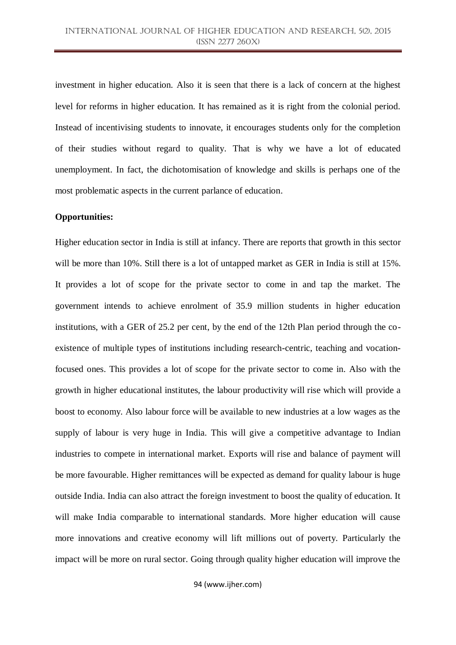investment in higher education. Also it is seen that there is a lack of concern at the highest level for reforms in higher education. It has remained as it is right from the colonial period. Instead of incentivising students to innovate, it encourages students only for the completion of their studies without regard to quality. That is why we have a lot of educated unemployment. In fact, the dichotomisation of knowledge and skills is perhaps one of the most problematic aspects in the current parlance of education.

# **Opportunities:**

Higher education sector in India is still at infancy. There are reports that growth in this sector will be more than 10%. Still there is a lot of untapped market as GER in India is still at 15%. It provides a lot of scope for the private sector to come in and tap the market. The government intends to achieve enrolment of 35.9 million students in higher education institutions, with a GER of 25.2 per cent, by the end of the 12th Plan period through the coexistence of multiple types of institutions including research-centric, teaching and vocationfocused ones. This provides a lot of scope for the private sector to come in. Also with the growth in higher educational institutes, the labour productivity will rise which will provide a boost to economy. Also labour force will be available to new industries at a low wages as the supply of labour is very huge in India. This will give a competitive advantage to Indian industries to compete in international market. Exports will rise and balance of payment will be more favourable. Higher remittances will be expected as demand for quality labour is huge outside India. India can also attract the foreign investment to boost the quality of education. It will make India comparable to international standards. More higher education will cause more innovations and creative economy will lift millions out of poverty. Particularly the impact will be more on rural sector. Going through quality higher education will improve the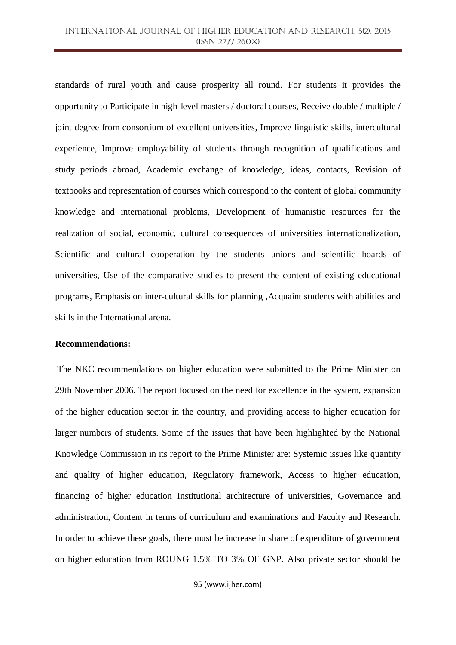standards of rural youth and cause prosperity all round. For students it provides the opportunity to Participate in high-level masters / doctoral courses, Receive double / multiple / joint degree from consortium of excellent universities, Improve linguistic skills, intercultural experience, Improve employability of students through recognition of qualifications and study periods abroad, Academic exchange of knowledge, ideas, contacts, Revision of textbooks and representation of courses which correspond to the content of global community knowledge and international problems, Development of humanistic resources for the realization of social, economic, cultural consequences of universities internationalization, Scientific and cultural cooperation by the students unions and scientific boards of universities, Use of the comparative studies to present the content of existing educational programs, Emphasis on inter-cultural skills for planning ,Acquaint students with abilities and skills in the International arena.

#### **Recommendations:**

The NKC recommendations on higher education were submitted to the Prime Minister on 29th November 2006. The report focused on the need for excellence in the system, expansion of the higher education sector in the country, and providing access to higher education for larger numbers of students. Some of the issues that have been highlighted by the National Knowledge Commission in its report to the Prime Minister are: Systemic issues like quantity and quality of higher education, Regulatory framework, Access to higher education, financing of higher education Institutional architecture of universities, Governance and administration, Content in terms of curriculum and examinations and Faculty and Research. In order to achieve these goals, there must be increase in share of expenditure of government on higher education from ROUNG 1.5% TO 3% OF GNP. Also private sector should be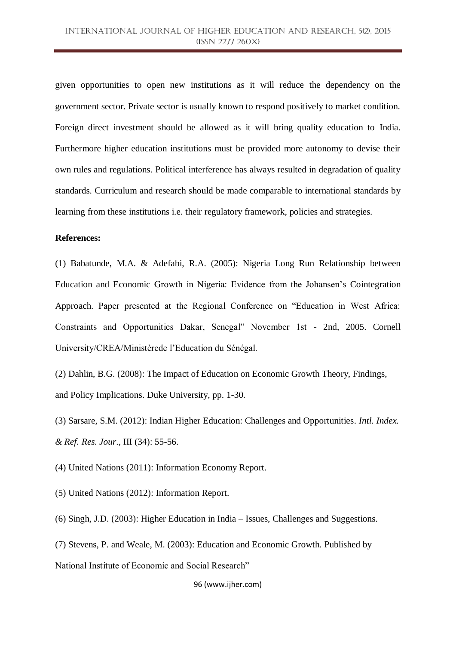given opportunities to open new institutions as it will reduce the dependency on the government sector. Private sector is usually known to respond positively to market condition. Foreign direct investment should be allowed as it will bring quality education to India. Furthermore higher education institutions must be provided more autonomy to devise their own rules and regulations. Political interference has always resulted in degradation of quality standards. Curriculum and research should be made comparable to international standards by learning from these institutions i.e. their regulatory framework, policies and strategies.

# **References:**

(1) Babatunde, M.A. & Adefabi, R.A. (2005): Nigeria Long Run Relationship between Education and Economic Growth in Nigeria: Evidence from the Johansen's Cointegration Approach. Paper presented at the Regional Conference on "Education in West Africa: Constraints and Opportunities Dakar, Senegal" November 1st - 2nd, 2005. Cornell University/CREA/Ministèrede l'Education du Sénégal.

(2) Dahlin, B.G. (2008): The Impact of Education on Economic Growth Theory, Findings, and Policy Implications. Duke University, pp. 1-30.

(3) Sarsare, S.M. (2012): Indian Higher Education: Challenges and Opportunities. *Intl. Index. & Ref. Res. Jour*., III (34): 55-56.

(4) United Nations (2011): Information Economy Report.

(5) United Nations (2012): Information Report.

(6) Singh, J.D. (2003): Higher Education in India – Issues, Challenges and Suggestions.

(7) Stevens, P. and Weale, M. (2003): Education and Economic Growth. Published by National Institute of Economic and Social Research"

96 (www.ijher.com)